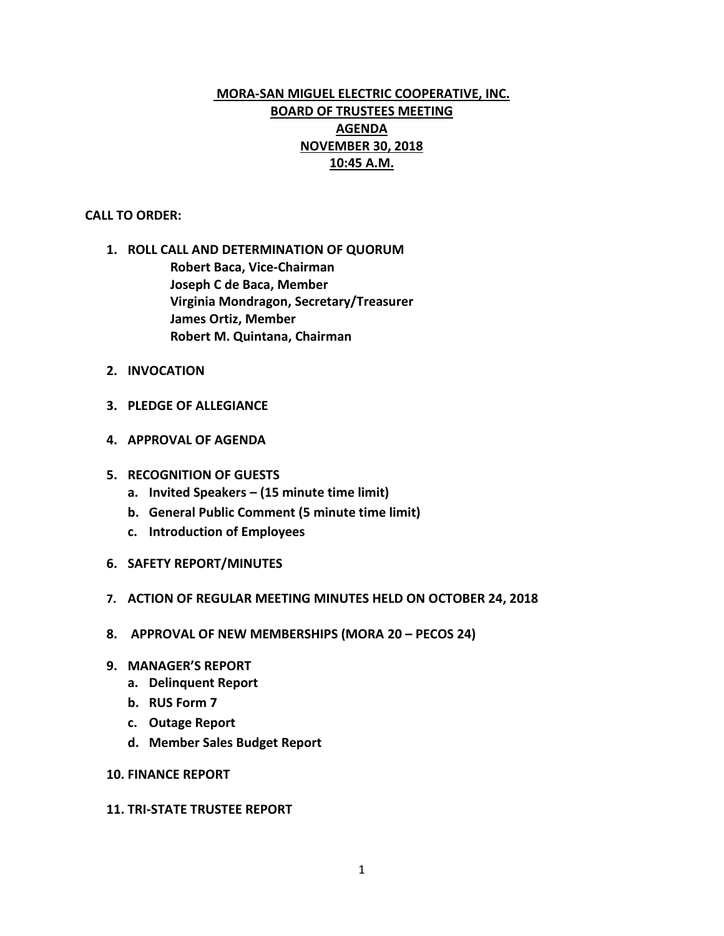# **MORA-SAN MIGUEL ELECTRIC COOPERATIVE, INC. BOARD OF TRUSTEES MEETING AGENDA NOVEMBER 30, 2018 10:45 A.M.**

#### **CALL TO ORDER:**

- **1. ROLL CALL AND DETERMINATION OF QUORUM Robert Baca, Vice-Chairman Joseph C de Baca, Member Virginia Mondragon, Secretary/Treasurer James Ortiz, Member Robert M. Quintana, Chairman**
- **2. INVOCATION**
- **3. PLEDGE OF ALLEGIANCE**
- **4. APPROVAL OF AGENDA**
- **5. RECOGNITION OF GUESTS**
	- **a. Invited Speakers – (15 minute time limit)**
	- **b. General Public Comment (5 minute time limit)**
	- **c. Introduction of Employees**
- **6. SAFETY REPORT/MINUTES**
- **7. ACTION OF REGULAR MEETING MINUTES HELD ON OCTOBER 24, 2018**
- **8. APPROVAL OF NEW MEMBERSHIPS (MORA 20 – PECOS 24)**
- **9. MANAGER'S REPORT**
	- **a. Delinquent Report**
	- **b. RUS Form 7**
	- **c. Outage Report**
	- **d. Member Sales Budget Report**
- **10. FINANCE REPORT**

#### **11. TRI-STATE TRUSTEE REPORT**